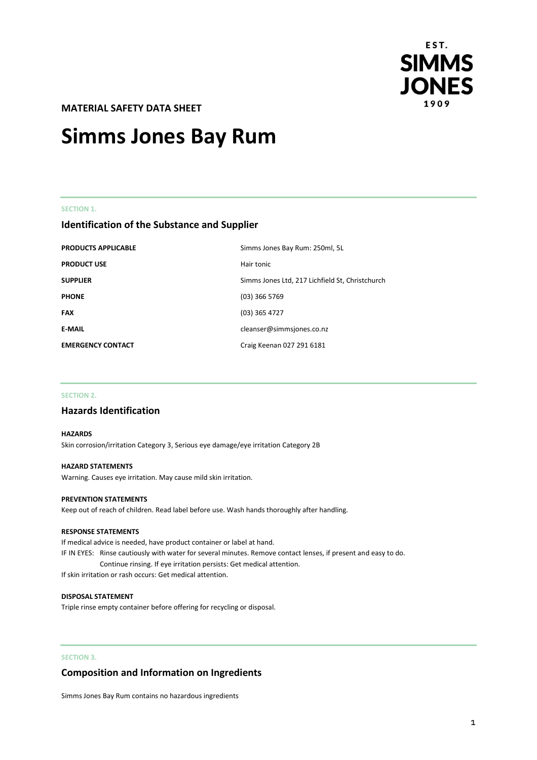

**MATERIAL SAFETY DATA SHEET** 

# **Simms Jones Bay Rum**

#### **SECTION 1.**

# **Identification of the Substance and Supplier**

| <b>PRODUCTS APPLICABLE</b> | Simms Jones Bay Rum: 250ml, 5L                  |
|----------------------------|-------------------------------------------------|
| <b>PRODUCT USE</b>         | Hair tonic                                      |
| <b>SUPPLIER</b>            | Simms Jones Ltd, 217 Lichfield St, Christchurch |
| <b>PHONE</b>               | $(03)$ 366 5769                                 |
| <b>FAX</b>                 | $(03)$ 365 4727                                 |
| <b>E-MAIL</b>              | cleanser@simmsjones.co.nz                       |
| <b>EMERGENCY CONTACT</b>   | Craig Keenan 027 291 6181                       |

### **SECTION 2.**

# **Hazards Identification**

#### **HAZARDS**

Skin corrosion/irritation Category 3, Serious eye damage/eye irritation Category 2B

#### **HAZARD STATEMENTS**

Warning. Causes eye irritation. May cause mild skin irritation.

#### **PREVENTION STATEMENTS**

Keep out of reach of children. Read label before use. Wash hands thoroughly after handling.

#### **RESPONSE STATEMENTS**

If medical advice is needed, have product container or label at hand. IF IN EYES: Rinse cautiously with water for several minutes. Remove contact lenses, if present and easy to do. Continue rinsing. If eye irritation persists: Get medical attention.

If skin irritation or rash occurs: Get medical attention.

#### **DISPOSAL STATEMENT**

Triple rinse empty container before offering for recycling or disposal.

# **SECTION 3.**

# **Composition and Information on Ingredients**

Simms Jones Bay Rum contains no hazardous ingredients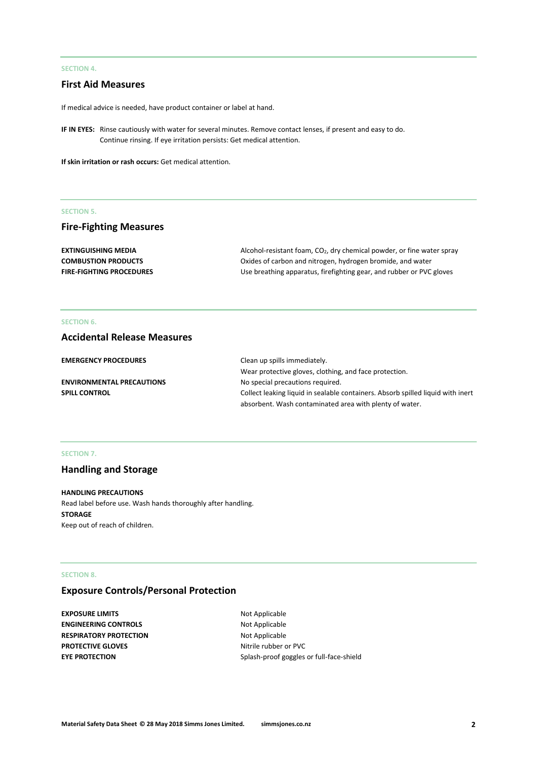## **SECTION 4.**

# **First Aid Measures**

If medical advice is needed, have product container or label at hand.

**IF IN EYES:** Rinse cautiously with water for several minutes. Remove contact lenses, if present and easy to do. Continue rinsing. If eye irritation persists: Get medical attention.

**If skin irritation or rash occurs:** Get medical attention.

## **SECTION 5.**

# **Fire-Fighting Measures**

| <b>EXTINGUISHING MEDIA</b>      | Alcohol-resistant foam, $CO2$ , dry chemical powder, or fine water spray |
|---------------------------------|--------------------------------------------------------------------------|
| <b>COMBUSTION PRODUCTS</b>      | Oxides of carbon and nitrogen, hydrogen bromide, and water               |
| <b>FIRE-FIGHTING PROCEDURES</b> | Use breathing apparatus, firefighting gear, and rubber or PVC gloves     |

## **SECTION 6.**

# **Accidental Release Measures**

| <b>EMERGENCY PROCEDURES</b>      | Clean up spills immediately.                                                    |
|----------------------------------|---------------------------------------------------------------------------------|
|                                  | Wear protective gloves, clothing, and face protection.                          |
| <b>ENVIRONMENTAL PRECAUTIONS</b> | No special precautions required.                                                |
| <b>SPILL CONTROL</b>             | Collect leaking liquid in sealable containers. Absorb spilled liquid with inert |
|                                  | absorbent. Wash contaminated area with plenty of water.                         |

#### **SECTION 7.**

# **Handling and Storage**

#### **HANDLING PRECAUTIONS**

Read label before use. Wash hands thoroughly after handling. **STORAGE** Keep out of reach of children.

#### **SECTION 8.**

# **Exposure Controls/Personal Protection**

**EXPOSURE LIMITS** Not Applicable **ENGINEERING CONTROLS** Not Applicable **RESPIRATORY PROTECTION** Not Applicable **PROTECTIVE GLOVES** Nitrile rubber or PVC

**EYE PROTECTION** Splash-proof goggles or full-face-shield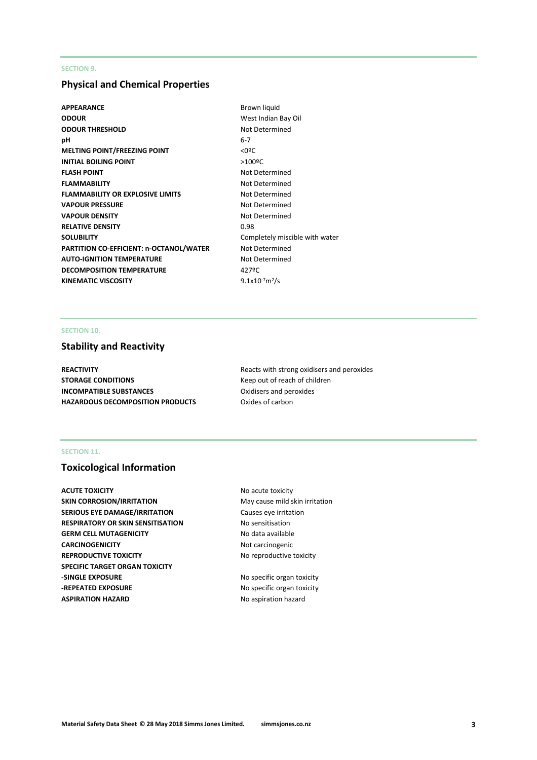## **SECTION 9.**

# **Physical and Chemical Properties**

- **APPEARANCE** Brown liquid **ODOUR** West Indian Bay Oil **ODOUR THRESHOLD** Not Determined **pH** 6-7 **MELTING POINT/FREEZING POINT**  $\leq 0$ **<sup>o</sup>C INITIAL BOILING POINT** >100<sup>o</sup>C **FLASH POINT** Not Determined **FLAMMABILITY** Not Determined **FLAMMABILITY OR EXPLOSIVE LIMITS** Not Determined **VAPOUR PRESSURE** Not Determined **VAPOUR DENSITY** Not Determined **RELATIVE DENSITY** 0.98 **SOLUBILITY** Completely miscible with water **PARTITION CO-EFFICIENT: n-OCTANOL/WATER** Not Determined **AUTO-IGNITION TEMPERATURE** Not Determined **DECOMPOSITION TEMPERATURE** 427°C **KINEMATIC VISCOSITY** 
	- $9.1x10^{-7}m^2/s$

## **SECTION 10.**

# **Stability and Reactivity**

**STORAGE CONDITIONS** Keep out of reach of children **INCOMPATIBLE SUBSTANCES** Oxidisers and peroxides **HAZARDOUS DECOMPOSITION PRODUCTS** Oxides of carbon

**REACTIVITY REACTIVITY Reacts** with strong oxidisers and peroxides

## **SECTION 11.**

# **Toxicological Information**

**ACUTE TOXICITY NO acute toxicity SKIN CORROSION/IRRITATION** May cause mild skin irritation **SERIOUS EYE DAMAGE/IRRITATION** Causes eye irritation **RESPIRATORY OR SKIN SENSITISATION No sensitisation GERM CELL MUTAGENICITY** No data available **CARCINOGENICITY** Not carcinogenic **REPRODUCTIVE TOXICITY No reproductive toxicity SPECIFIC TARGET ORGAN TOXICITY -SINGLE EXPOSURE** No specific organ toxicity **-REPEATED EXPOSURE** No specific organ toxicity **ASPIRATION HAZARD** No aspiration hazard